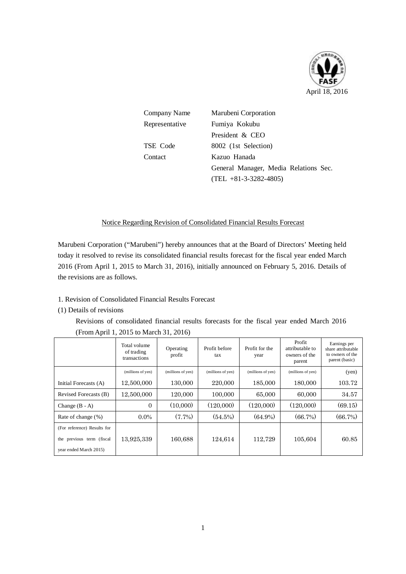

| Company Name   | Marubeni Corporation                  |  |  |  |  |
|----------------|---------------------------------------|--|--|--|--|
| Representative | Fumiya Kokubu                         |  |  |  |  |
|                | President & CEO                       |  |  |  |  |
| TSE Code       | 8002 (1st Selection)                  |  |  |  |  |
| Contact        | Kazuo Hanada                          |  |  |  |  |
|                | General Manager, Media Relations Sec. |  |  |  |  |
|                | $(TEL + 81 - 3 - 3282 - 4805)$        |  |  |  |  |

# Notice Regarding Revision of Consolidated Financial Results Forecast

Marubeni Corporation ("Marubeni") hereby announces that at the Board of Directors' Meeting held today it resolved to revise its consolidated financial results forecast for the fiscal year ended March 2016 (From April 1, 2015 to March 31, 2016), initially announced on February 5, 2016. Details of the revisions are as follows.

### 1. Revision of Consolidated Financial Results Forecast

### (1) Details of revisions

Revisions of consolidated financial results forecasts for the fiscal year ended March 2016 (From April 1, 2015 to March 31, 2016)

|                             | Total volume<br>of trading<br>transactions | Operating<br>profit | Profit before<br>tax | Profit for the<br>year | Profit<br>attributable to<br>owners of the<br>parent | Earnings per<br>share attributable<br>to owners of the<br>parent (basic) |
|-----------------------------|--------------------------------------------|---------------------|----------------------|------------------------|------------------------------------------------------|--------------------------------------------------------------------------|
|                             | (millions of yen)                          | (millions of yen)   | (millions of yen)    | (millions of yen)      | (millions of yen)                                    | (yen)                                                                    |
| Initial Forecasts (A)       | 12,500,000                                 | 130,000             | 220,000              | 185,000                | 180,000                                              | 103.72                                                                   |
| Revised Forecasts (B)       | 12,500,000                                 | 120,000             | 100,000              | 65,000                 | 60,000                                               | 34.57                                                                    |
| Change $(B - A)$            | $\Omega$                                   | (10,000)            | (120.000)            | (120,000)              | (120,000)                                            | (69.15)                                                                  |
| Rate of change (%)          | $0.0\%$                                    | $(7.7\%)$           | (54.5%)              | $(64.9\%)$             | (66.7%)                                              | (66.7%)                                                                  |
| (For reference) Results for |                                            |                     |                      |                        |                                                      |                                                                          |
| the previous term (fiscal   | 13,925,339                                 | 160,688             | 124,614              | 112,729                | 105,604                                              | 60.85                                                                    |
| year ended March 2015)      |                                            |                     |                      |                        |                                                      |                                                                          |